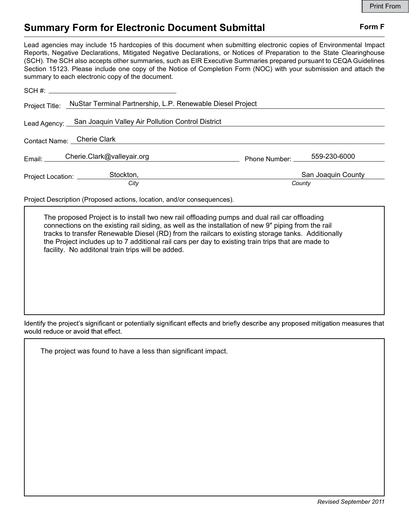## Summary Form for Electronic Document Submittal Form F

Lead agencies may include 15 hardcopies of this document when submitting electronic copies of Environmental Impact Reports, Negative Declarations, Mitigated Negative Declarations, or Notices of Preparation to the State Clearinghouse (SCH). The SCH also accepts other summaries, such as EIR Executive Summaries prepared pursuant to CEQA Guidelines Section 15123. Please include one copy of the Notice of Completion Form (NOC) with your submission and attach the summary to each electronic copy of the document.

| NuStar Terminal Partnership, L.P. Renewable Diesel Project         |
|--------------------------------------------------------------------|
| Lead Agency: San Joaquin Valley Air Pollution Control District     |
|                                                                    |
| Email: Cherie.Clark@valleyair.org<br>559-230-6000<br>Phone Number: |
| San Joaquin County<br>County                                       |
|                                                                    |

Project Description (Proposed actions, location, and/or consequences).

The proposed Project is to install two new rail offloading pumps and dual rail car offloading connections on the existing rail siding, as well as the installation of new 9" piping from the rail tracks to transfer Renewable Diesel (RD) from the railcars to existing storage tanks. Additionally the Project includes up to 7 additional rail cars per day to existing train trips that are made to facility. No additonal train trips will be added.

Identify the project's significant or potentially significant effects and briefly describe any proposed mitigation measures that would reduce or avoid that effect.

The project was found to have a less than significant impact.